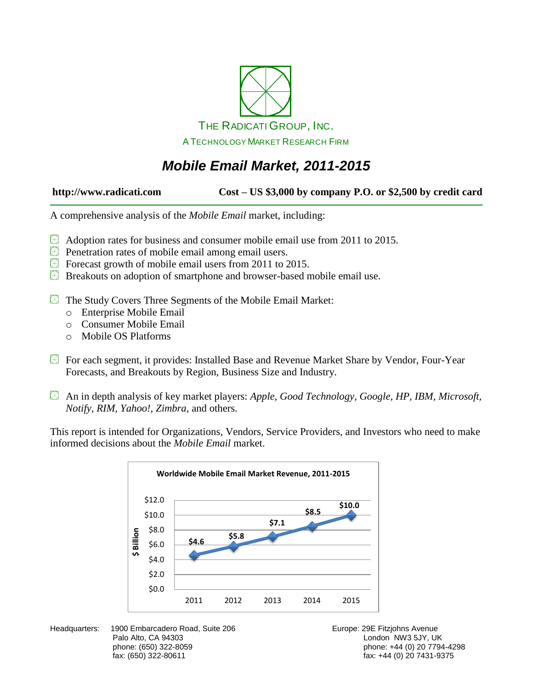

# *Mobile Email Market, 2011-2015*

**http://www.radicati.com Cost – US \$3,000 by company P.O. or \$2,500 by credit card**

A comprehensive analysis of the *Mobile Email* market, including:

- $\circledR$  Adoption rates for business and consumer mobile email use from 2011 to 2015.
- **Penetration rates of mobile email among email users.**
- Forecast growth of mobile email users from 2011 to 2015.
- Breakouts on adoption of smartphone and browser-based mobile email use.
- The Study Covers Three Segments of the Mobile Email Market:
	- o Enterprise Mobile Email
	- o Consumer Mobile Email
	- o Mobile OS Platforms
- For each segment, it provides: Installed Base and Revenue Market Share by Vendor, Four-Year Forecasts, and Breakouts by Region, Business Size and Industry.
- An in depth analysis of key market players: *Apple, Good Technology, Google, HP, IBM, Microsoft, Notify, RIM, Yahoo!, Zimbra,* and others.

This report is intended for Organizations, Vendors, Service Providers, and Investors who need to make informed decisions about the *Mobile Email* market.

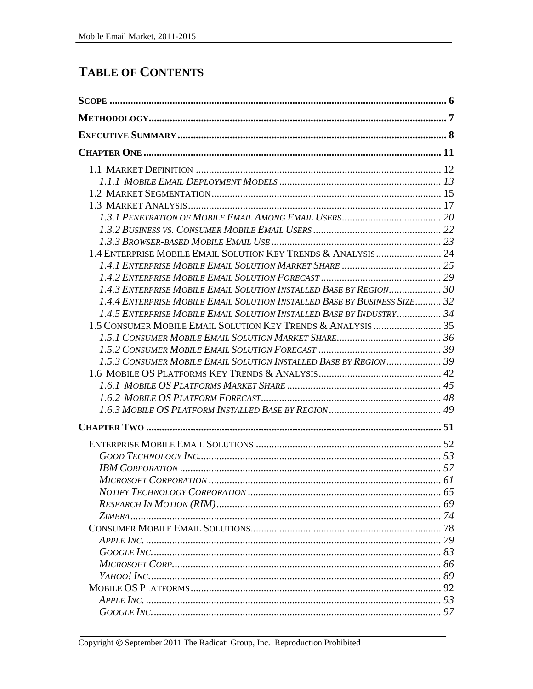# **TABLE OF CONTENTS**

| 1.4 ENTERPRISE MOBILE EMAIL SOLUTION KEY TRENDS & ANALYSIS 24             |  |
|---------------------------------------------------------------------------|--|
|                                                                           |  |
|                                                                           |  |
| 1.4.3 ENTERPRISE MOBILE EMAIL SOLUTION INSTALLED BASE BY REGION 30        |  |
| 1.4.4 ENTERPRISE MOBILE EMAIL SOLUTION INSTALLED BASE BY BUSINESS SIZE 32 |  |
| 1.4.5 ENTERPRISE MOBILE EMAIL SOLUTION INSTALLED BASE BY INDUSTRY 34      |  |
|                                                                           |  |
|                                                                           |  |
|                                                                           |  |
| 1.5.3 CONSUMER MOBILE EMAIL SOLUTION INSTALLED BASE BY REGION 39          |  |
|                                                                           |  |
|                                                                           |  |
|                                                                           |  |
|                                                                           |  |
|                                                                           |  |
|                                                                           |  |
|                                                                           |  |
|                                                                           |  |
|                                                                           |  |
|                                                                           |  |
|                                                                           |  |
|                                                                           |  |
|                                                                           |  |
|                                                                           |  |
|                                                                           |  |
|                                                                           |  |
|                                                                           |  |
|                                                                           |  |
|                                                                           |  |
|                                                                           |  |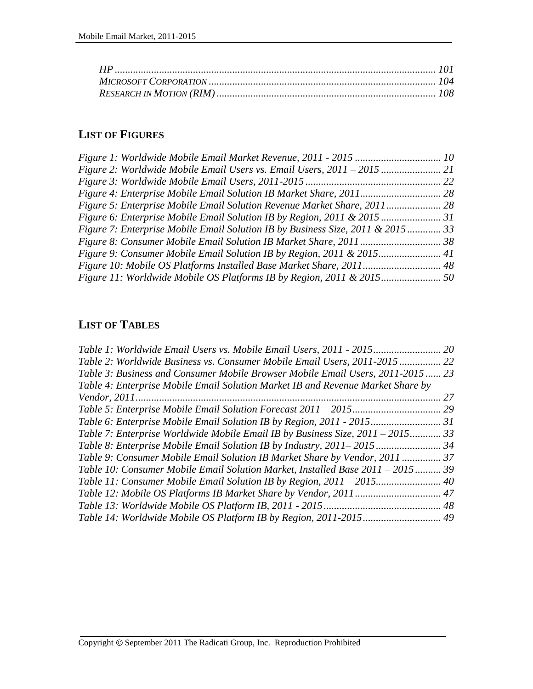### **LIST OF FIGURES**

| Figure 2: Worldwide Mobile Email Users vs. Email Users, 2011 – 2015            |  |
|--------------------------------------------------------------------------------|--|
|                                                                                |  |
|                                                                                |  |
|                                                                                |  |
|                                                                                |  |
| Figure 7: Enterprise Mobile Email Solution IB by Business Size, 2011 & 2015 33 |  |
|                                                                                |  |
|                                                                                |  |
|                                                                                |  |
| Figure 11: Worldwide Mobile OS Platforms IB by Region, 2011 & 2015             |  |

### **LIST OF TABLES**

| Table 1: Worldwide Email Users vs. Mobile Email Users, 2011 - 2015              | 20 |
|---------------------------------------------------------------------------------|----|
| Table 2: Worldwide Business vs. Consumer Mobile Email Users, 2011-2015          | 22 |
| Table 3: Business and Consumer Mobile Browser Mobile Email Users, 2011-2015 23  |    |
| Table 4: Enterprise Mobile Email Solution Market IB and Revenue Market Share by |    |
|                                                                                 | 27 |
|                                                                                 |    |
|                                                                                 |    |
| Table 7: Enterprise Worldwide Mobile Email IB by Business Size, 2011 – 2015 33  |    |
|                                                                                 |    |
| Table 9: Consumer Mobile Email Solution IB Market Share by Vendor, 2011  37     |    |
| Table 10: Consumer Mobile Email Solution Market, Installed Base 2011 – 2015 39  |    |
|                                                                                 |    |
|                                                                                 |    |
|                                                                                 |    |
|                                                                                 |    |
|                                                                                 |    |